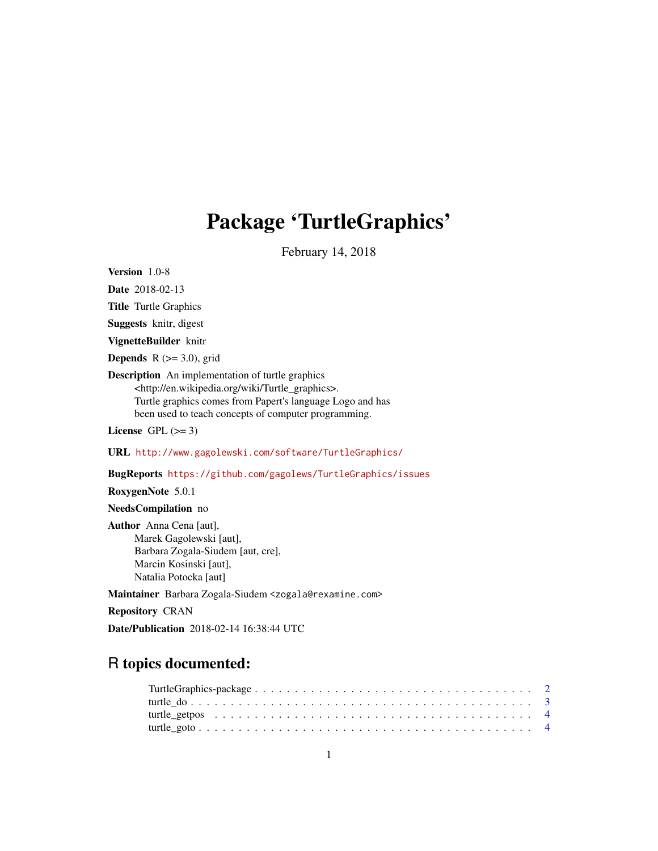# Package 'TurtleGraphics'

February 14, 2018

<span id="page-0-0"></span>Version 1.0-8

Date 2018-02-13

Title Turtle Graphics

Suggests knitr, digest

VignetteBuilder knitr

**Depends** R  $(>= 3.0)$ , grid

Description An implementation of turtle graphics <http://en.wikipedia.org/wiki/Turtle\_graphics>. Turtle graphics comes from Papert's language Logo and has been used to teach concepts of computer programming.

License GPL  $(>= 3)$ 

URL <http://www.gagolewski.com/software/TurtleGraphics/>

BugReports <https://github.com/gagolews/TurtleGraphics/issues>

RoxygenNote 5.0.1

NeedsCompilation no

Author Anna Cena [aut], Marek Gagolewski [aut], Barbara Zogala-Siudem [aut, cre], Marcin Kosinski [aut], Natalia Potocka [aut]

Maintainer Barbara Zogala-Siudem <zogala@rexamine.com>

Repository CRAN

Date/Publication 2018-02-14 16:38:44 UTC

# R topics documented: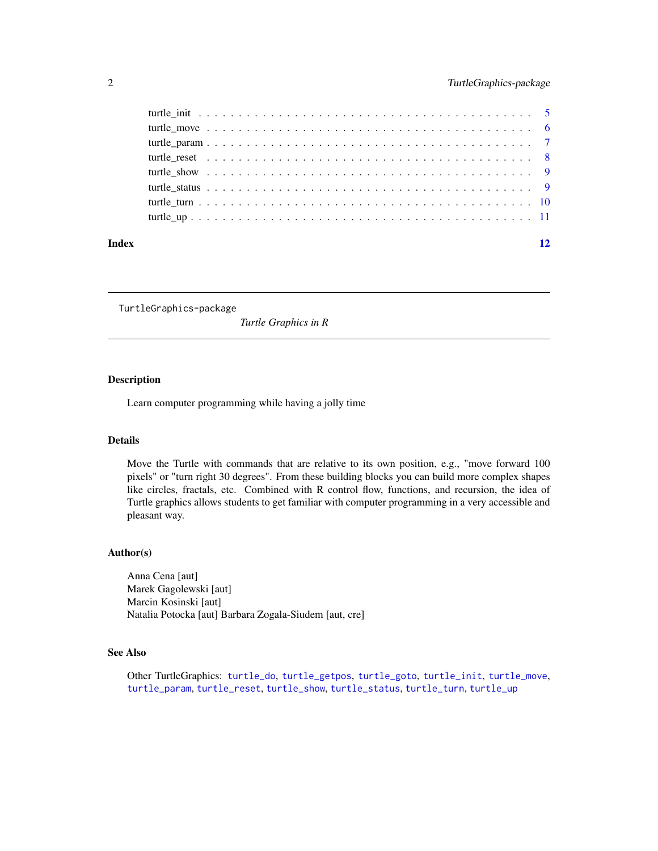<span id="page-1-0"></span>

| Index | 12 |
|-------|----|
|       |    |
|       |    |
|       |    |
|       |    |
|       |    |
|       |    |
|       |    |
|       |    |

<span id="page-1-1"></span>TurtleGraphics-package

*Turtle Graphics in R*

# Description

Learn computer programming while having a jolly time

# Details

Move the Turtle with commands that are relative to its own position, e.g., "move forward 100 pixels" or "turn right 30 degrees". From these building blocks you can build more complex shapes like circles, fractals, etc. Combined with R control flow, functions, and recursion, the idea of Turtle graphics allows students to get familiar with computer programming in a very accessible and pleasant way.

#### Author(s)

Anna Cena [aut] Marek Gagolewski [aut] Marcin Kosinski [aut] Natalia Potocka [aut] Barbara Zogala-Siudem [aut, cre]

#### See Also

Other TurtleGraphics: [turtle\\_do](#page-2-1), [turtle\\_getpos](#page-3-1), [turtle\\_goto](#page-3-2), [turtle\\_init](#page-4-1), [turtle\\_move](#page-5-1), [turtle\\_param](#page-6-1), [turtle\\_reset](#page-7-1), [turtle\\_show](#page-8-1), [turtle\\_status](#page-8-2), [turtle\\_turn](#page-9-1), [turtle\\_up](#page-10-1)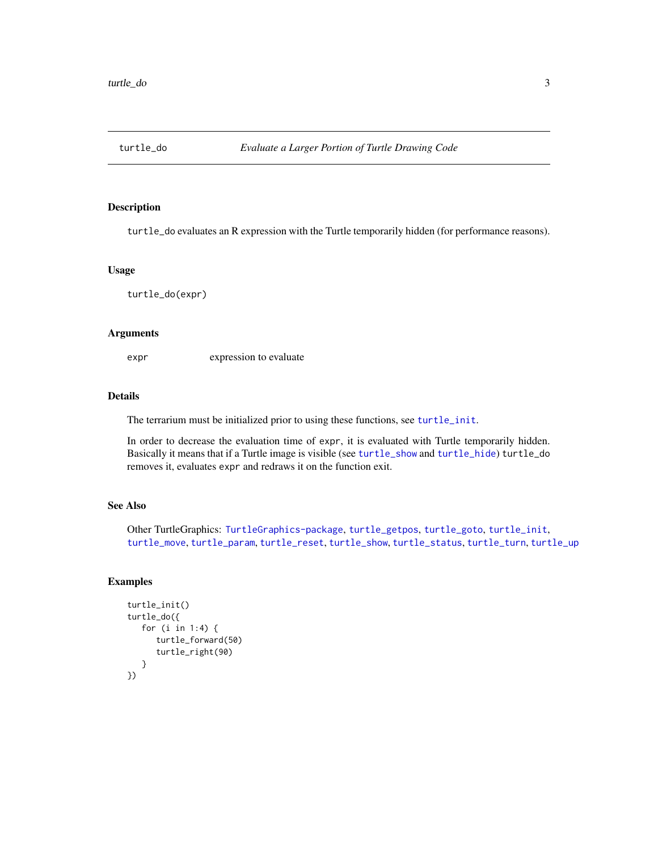<span id="page-2-1"></span><span id="page-2-0"></span>

turtle\_do evaluates an R expression with the Turtle temporarily hidden (for performance reasons).

#### Usage

turtle\_do(expr)

#### Arguments

expr expression to evaluate

# Details

The terrarium must be initialized prior to using these functions, see [turtle\\_init](#page-4-1).

In order to decrease the evaluation time of expr, it is evaluated with Turtle temporarily hidden. Basically it means that if a Turtle image is visible (see [turtle\\_show](#page-8-1) and [turtle\\_hide](#page-8-3)) turtle\_do removes it, evaluates expr and redraws it on the function exit.

# See Also

Other TurtleGraphics: [TurtleGraphics-package](#page-1-1), [turtle\\_getpos](#page-3-1), [turtle\\_goto](#page-3-2), [turtle\\_init](#page-4-1), [turtle\\_move](#page-5-1), [turtle\\_param](#page-6-1), [turtle\\_reset](#page-7-1), [turtle\\_show](#page-8-1), [turtle\\_status](#page-8-2), [turtle\\_turn](#page-9-1), [turtle\\_up](#page-10-1)

#### Examples

```
turtle_init()
turtle_do({
   for (i in 1:4) {
      turtle_forward(50)
      turtle_right(90)
   }
})
```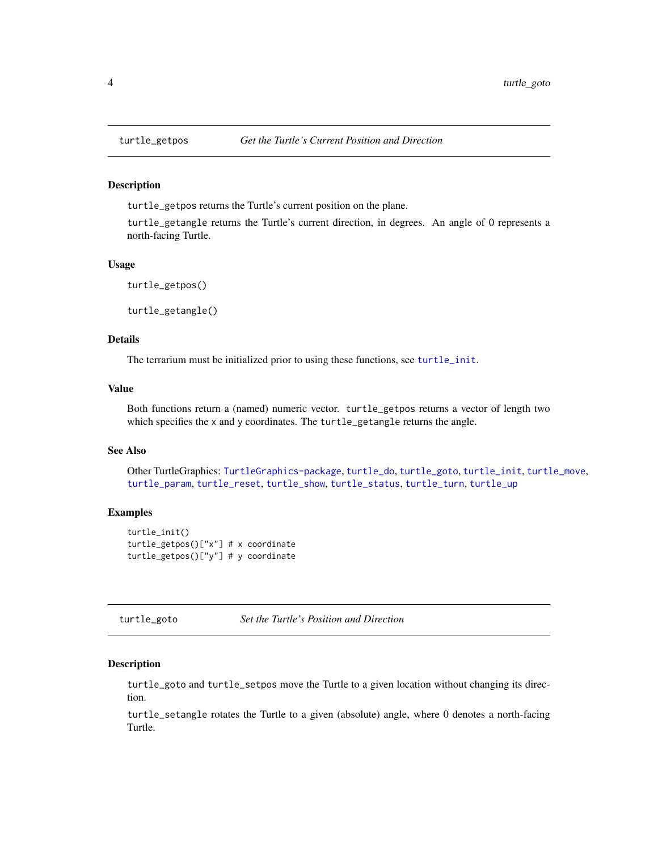turtle\_getpos returns the Turtle's current position on the plane.

turtle\_getangle returns the Turtle's current direction, in degrees. An angle of 0 represents a north-facing Turtle.

# Usage

turtle\_getpos() turtle\_getangle()

#### Details

The terrarium must be initialized prior to using these functions, see [turtle\\_init](#page-4-1).

# Value

Both functions return a (named) numeric vector. turtle\_getpos returns a vector of length two which specifies the x and y coordinates. The turtle\_getangle returns the angle.

#### See Also

Other TurtleGraphics: [TurtleGraphics-package](#page-1-1), [turtle\\_do](#page-2-1), [turtle\\_goto](#page-3-2), [turtle\\_init](#page-4-1), [turtle\\_move](#page-5-1), [turtle\\_param](#page-6-1), [turtle\\_reset](#page-7-1), [turtle\\_show](#page-8-1), [turtle\\_status](#page-8-2), [turtle\\_turn](#page-9-1), [turtle\\_up](#page-10-1)

# Examples

```
turtle_init()
turtle_getpos()["x"] # x coordinate
turtle_getpos()["y"] # y coordinate
```
<span id="page-3-2"></span>turtle\_goto *Set the Turtle's Position and Direction*

#### Description

turtle\_goto and turtle\_setpos move the Turtle to a given location without changing its direction.

turtle\_setangle rotates the Turtle to a given (absolute) angle, where 0 denotes a north-facing Turtle.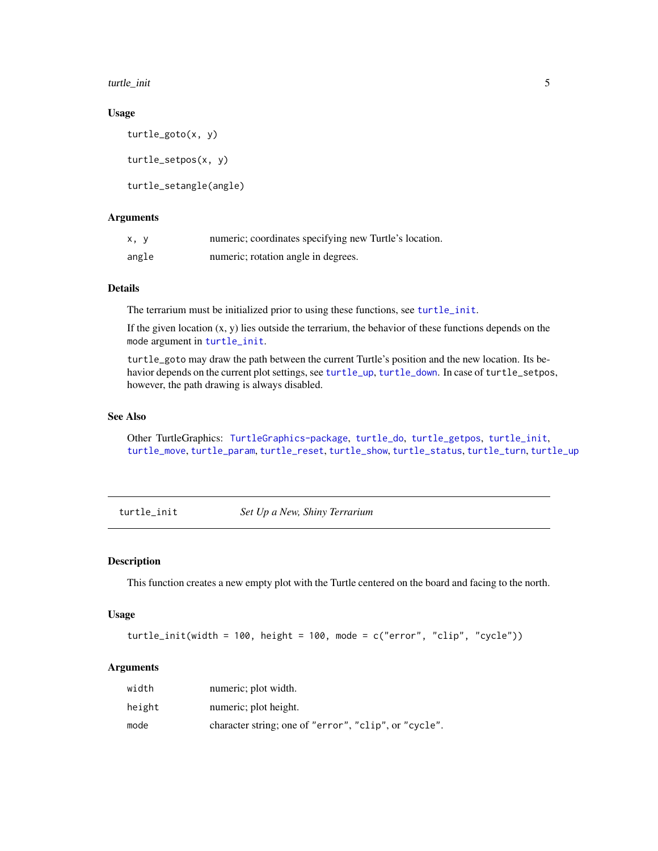<span id="page-4-0"></span>turtle\_init 5

#### Usage

```
turtle_goto(x, y)
turtle_setpos(x, y)
turtle_setangle(angle)
```
# Arguments

| x, y  | numeric; coordinates specifying new Turtle's location. |
|-------|--------------------------------------------------------|
| angle | numeric; rotation angle in degrees.                    |

#### Details

The terrarium must be initialized prior to using these functions, see [turtle\\_init](#page-4-1).

If the given location  $(x, y)$  lies outside the terrarium, the behavior of these functions depends on the mode argument in [turtle\\_init](#page-4-1).

turtle\_goto may draw the path between the current Turtle's position and the new location. Its behavior depends on the current plot settings, see [turtle\\_up](#page-10-1), [turtle\\_down](#page-10-2). In case of turtle\_setpos, however, the path drawing is always disabled.

# See Also

Other TurtleGraphics: [TurtleGraphics-package](#page-1-1), [turtle\\_do](#page-2-1), [turtle\\_getpos](#page-3-1), [turtle\\_init](#page-4-1), [turtle\\_move](#page-5-1), [turtle\\_param](#page-6-1), [turtle\\_reset](#page-7-1), [turtle\\_show](#page-8-1), [turtle\\_status](#page-8-2), [turtle\\_turn](#page-9-1), [turtle\\_up](#page-10-1)

<span id="page-4-1"></span>turtle\_init *Set Up a New, Shiny Terrarium*

# **Description**

This function creates a new empty plot with the Turtle centered on the board and facing to the north.

# Usage

```
turtle_init(width = 100, height = 100, mode = c("error", "clip", "cycle"))
```
# Arguments

| width  | numeric; plot width.                                  |
|--------|-------------------------------------------------------|
| height | numeric; plot height.                                 |
| mode   | character string; one of "error", "clip", or "cycle". |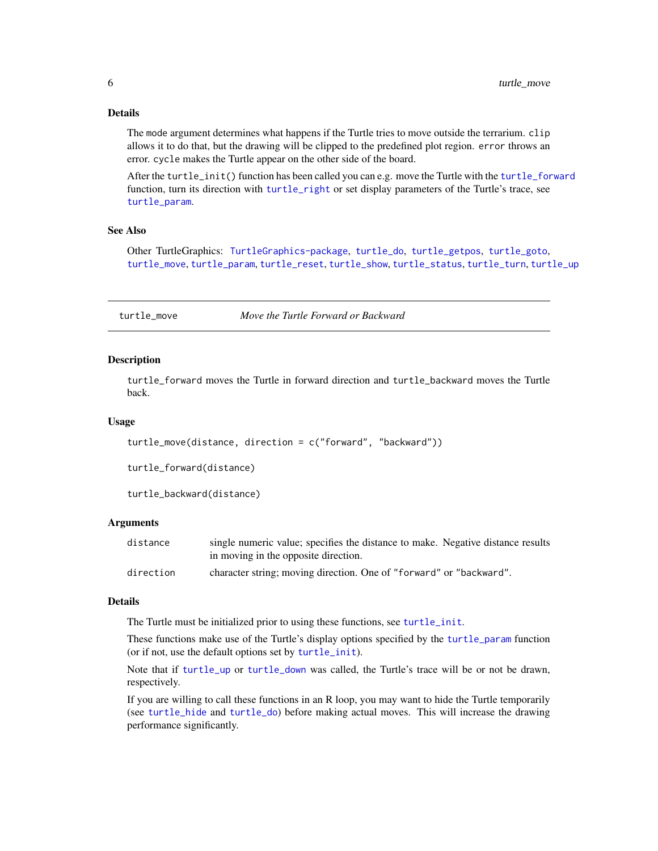# Details

The mode argument determines what happens if the Turtle tries to move outside the terrarium. clip allows it to do that, but the drawing will be clipped to the predefined plot region. error throws an error. cycle makes the Turtle appear on the other side of the board.

After the turtle\_init() function has been called you can e.g. move the Turtle with the [turtle\\_forward](#page-5-2) function, turn its direction with [turtle\\_right](#page-9-2) or set display parameters of the Turtle's trace, see [turtle\\_param](#page-6-1).

# See Also

Other TurtleGraphics: [TurtleGraphics-package](#page-1-1), [turtle\\_do](#page-2-1), [turtle\\_getpos](#page-3-1), [turtle\\_goto](#page-3-2), [turtle\\_move](#page-5-1), [turtle\\_param](#page-6-1), [turtle\\_reset](#page-7-1), [turtle\\_show](#page-8-1), [turtle\\_status](#page-8-2), [turtle\\_turn](#page-9-1), [turtle\\_up](#page-10-1)

<span id="page-5-1"></span>turtle\_move *Move the Turtle Forward or Backward*

#### <span id="page-5-2"></span>**Description**

turtle\_forward moves the Turtle in forward direction and turtle\_backward moves the Turtle back.

#### Usage

```
turtle_move(distance, direction = c("forward", "backward"))
```
turtle\_forward(distance)

turtle\_backward(distance)

# Arguments

| distance  | single numeric value; specifies the distance to make. Negative distance results |
|-----------|---------------------------------------------------------------------------------|
|           | in moving in the opposite direction.                                            |
| direction | character string; moving direction. One of "forward" or "backward".             |

#### Details

The Turtle must be initialized prior to using these functions, see [turtle\\_init](#page-4-1).

These functions make use of the Turtle's display options specified by the [turtle\\_param](#page-6-1) function (or if not, use the default options set by [turtle\\_init](#page-4-1)).

Note that if [turtle\\_up](#page-10-1) or [turtle\\_down](#page-10-2) was called, the Turtle's trace will be or not be drawn, respectively.

If you are willing to call these functions in an R loop, you may want to hide the Turtle temporarily (see [turtle\\_hide](#page-8-3) and [turtle\\_do](#page-2-1)) before making actual moves. This will increase the drawing performance significantly.

<span id="page-5-0"></span>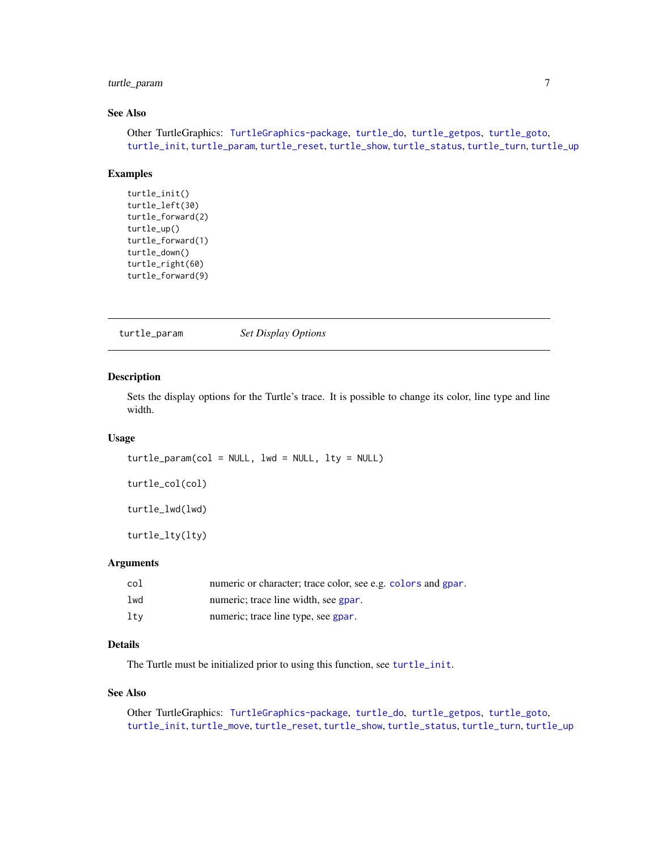# <span id="page-6-0"></span>turtle\_param 7

# See Also

Other TurtleGraphics: [TurtleGraphics-package](#page-1-1), [turtle\\_do](#page-2-1), [turtle\\_getpos](#page-3-1), [turtle\\_goto](#page-3-2), [turtle\\_init](#page-4-1), [turtle\\_param](#page-6-1), [turtle\\_reset](#page-7-1), [turtle\\_show](#page-8-1), [turtle\\_status](#page-8-2), [turtle\\_turn](#page-9-1), [turtle\\_up](#page-10-1)

#### Examples

```
turtle_init()
turtle_left(30)
turtle_forward(2)
turtle_up()
turtle_forward(1)
turtle_down()
turtle_right(60)
turtle_forward(9)
```
<span id="page-6-1"></span>turtle\_param *Set Display Options*

#### Description

Sets the display options for the Turtle's trace. It is possible to change its color, line type and line width.

# Usage

turtle\_param(col = NULL, lwd = NULL, lty = NULL)

turtle\_col(col)

turtle\_lwd(lwd)

turtle\_lty(lty)

#### Arguments

| col | numeric or character; trace color, see e.g. colors and gpar. |
|-----|--------------------------------------------------------------|
| lwd | numeric; trace line width, see gpar.                         |
| ltv | numeric; trace line type, see gpar.                          |

# Details

The Turtle must be initialized prior to using this function, see [turtle\\_init](#page-4-1).

# See Also

Other TurtleGraphics: [TurtleGraphics-package](#page-1-1), [turtle\\_do](#page-2-1), [turtle\\_getpos](#page-3-1), [turtle\\_goto](#page-3-2), [turtle\\_init](#page-4-1), [turtle\\_move](#page-5-1), [turtle\\_reset](#page-7-1), [turtle\\_show](#page-8-1), [turtle\\_status](#page-8-2), [turtle\\_turn](#page-9-1), [turtle\\_up](#page-10-1)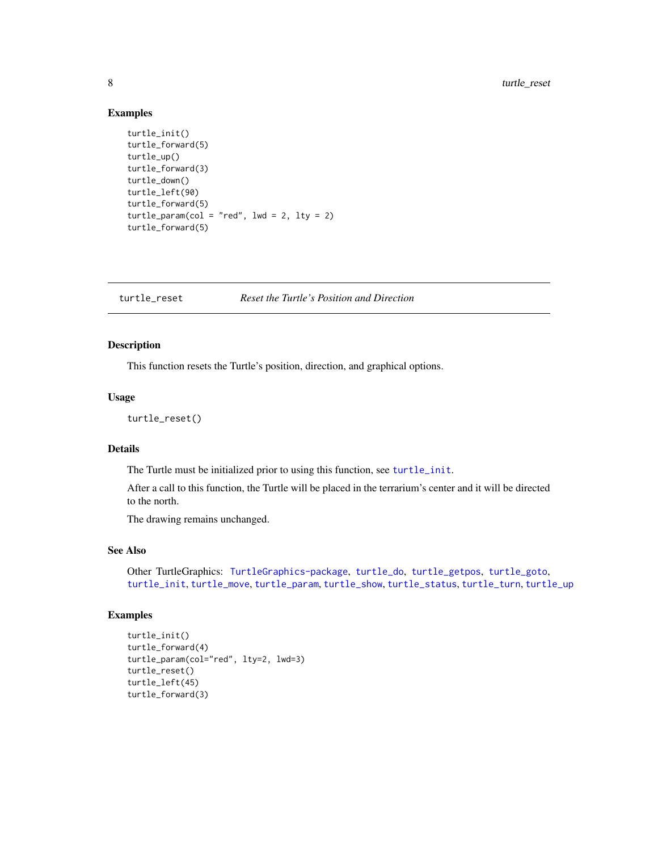# Examples

```
turtle_init()
turtle_forward(5)
turtle_up()
turtle_forward(3)
turtle_down()
turtle_left(90)
turtle_forward(5)
turtle_param(col = "red", lwd = 2, lty = 2)turtle_forward(5)
```
<span id="page-7-1"></span>

turtle\_reset *Reset the Turtle's Position and Direction*

# Description

This function resets the Turtle's position, direction, and graphical options.

#### Usage

turtle\_reset()

# Details

The Turtle must be initialized prior to using this function, see [turtle\\_init](#page-4-1).

After a call to this function, the Turtle will be placed in the terrarium's center and it will be directed to the north.

The drawing remains unchanged.

# See Also

Other TurtleGraphics: [TurtleGraphics-package](#page-1-1), [turtle\\_do](#page-2-1), [turtle\\_getpos](#page-3-1), [turtle\\_goto](#page-3-2), [turtle\\_init](#page-4-1), [turtle\\_move](#page-5-1), [turtle\\_param](#page-6-1), [turtle\\_show](#page-8-1), [turtle\\_status](#page-8-2), [turtle\\_turn](#page-9-1), [turtle\\_up](#page-10-1)

# Examples

```
turtle_init()
turtle_forward(4)
turtle_param(col="red", lty=2, lwd=3)
turtle_reset()
turtle_left(45)
turtle_forward(3)
```
<span id="page-7-0"></span>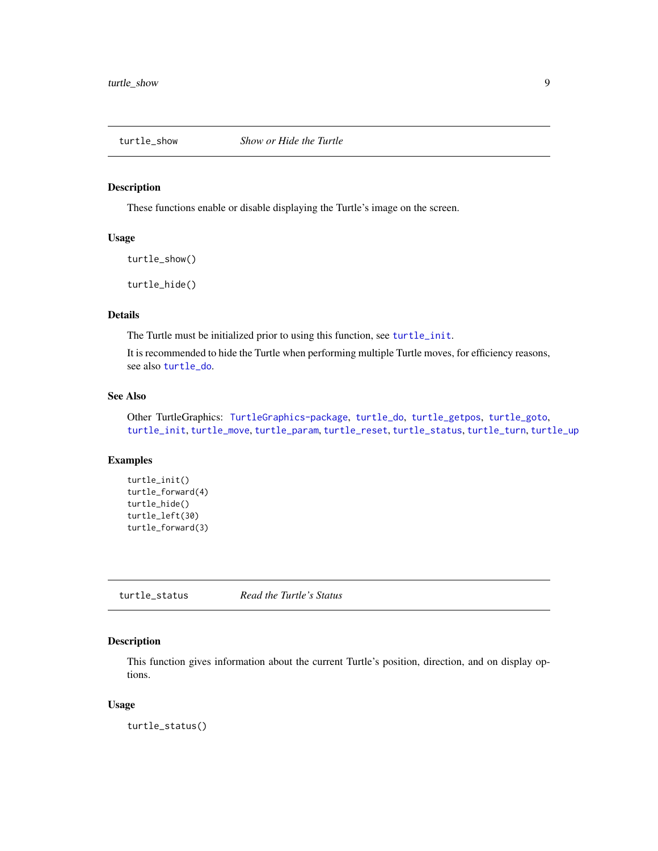<span id="page-8-3"></span><span id="page-8-1"></span><span id="page-8-0"></span>

These functions enable or disable displaying the Turtle's image on the screen.

#### Usage

turtle\_show()

turtle\_hide()

# Details

The Turtle must be initialized prior to using this function, see [turtle\\_init](#page-4-1).

It is recommended to hide the Turtle when performing multiple Turtle moves, for efficiency reasons, see also [turtle\\_do](#page-2-1).

# See Also

Other TurtleGraphics: [TurtleGraphics-package](#page-1-1), [turtle\\_do](#page-2-1), [turtle\\_getpos](#page-3-1), [turtle\\_goto](#page-3-2), [turtle\\_init](#page-4-1), [turtle\\_move](#page-5-1), [turtle\\_param](#page-6-1), [turtle\\_reset](#page-7-1), [turtle\\_status](#page-8-2), [turtle\\_turn](#page-9-1), [turtle\\_up](#page-10-1)

# Examples

```
turtle_init()
turtle_forward(4)
turtle_hide()
turtle_left(30)
turtle_forward(3)
```
<span id="page-8-2"></span>turtle\_status *Read the Turtle's Status*

#### Description

This function gives information about the current Turtle's position, direction, and on display options.

#### Usage

turtle\_status()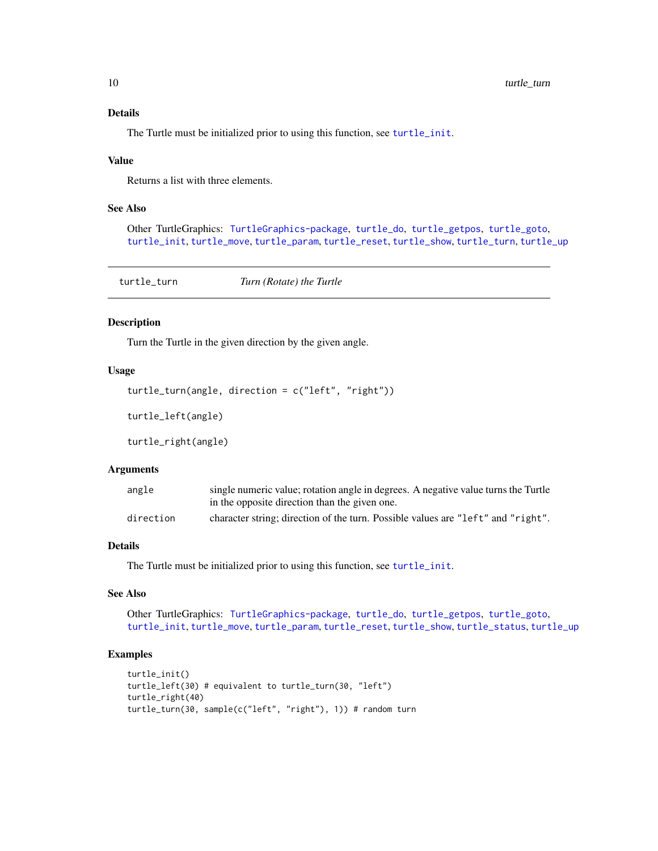# Details

The Turtle must be initialized prior to using this function, see [turtle\\_init](#page-4-1).

#### Value

Returns a list with three elements.

# See Also

Other TurtleGraphics: [TurtleGraphics-package](#page-1-1), [turtle\\_do](#page-2-1), [turtle\\_getpos](#page-3-1), [turtle\\_goto](#page-3-2), [turtle\\_init](#page-4-1), [turtle\\_move](#page-5-1), [turtle\\_param](#page-6-1), [turtle\\_reset](#page-7-1), [turtle\\_show](#page-8-1), [turtle\\_turn](#page-9-1), [turtle\\_up](#page-10-1)

<span id="page-9-1"></span>turtle\_turn *Turn (Rotate) the Turtle*

# <span id="page-9-2"></span>Description

Turn the Turtle in the given direction by the given angle.

# Usage

```
turtle_turn(angle, direction = c("left", "right"))
```

```
turtle_left(angle)
```
turtle\_right(angle)

#### Arguments

| angle     | single numeric value; rotation angle in degrees. A negative value turns the Turtle |
|-----------|------------------------------------------------------------------------------------|
|           | in the opposite direction than the given one.                                      |
| direction | character string; direction of the turn. Possible values are "left" and "right".   |

# Details

The Turtle must be initialized prior to using this function, see [turtle\\_init](#page-4-1).

# See Also

Other TurtleGraphics: [TurtleGraphics-package](#page-1-1), [turtle\\_do](#page-2-1), [turtle\\_getpos](#page-3-1), [turtle\\_goto](#page-3-2), [turtle\\_init](#page-4-1), [turtle\\_move](#page-5-1), [turtle\\_param](#page-6-1), [turtle\\_reset](#page-7-1), [turtle\\_show](#page-8-1), [turtle\\_status](#page-8-2), [turtle\\_up](#page-10-1)

# Examples

```
turtle_init()
turtle_left(30) # equivalent to turtle_turn(30, "left")
turtle_right(40)
turtle_turn(30, sample(c("left", "right"), 1)) # random turn
```
<span id="page-9-0"></span>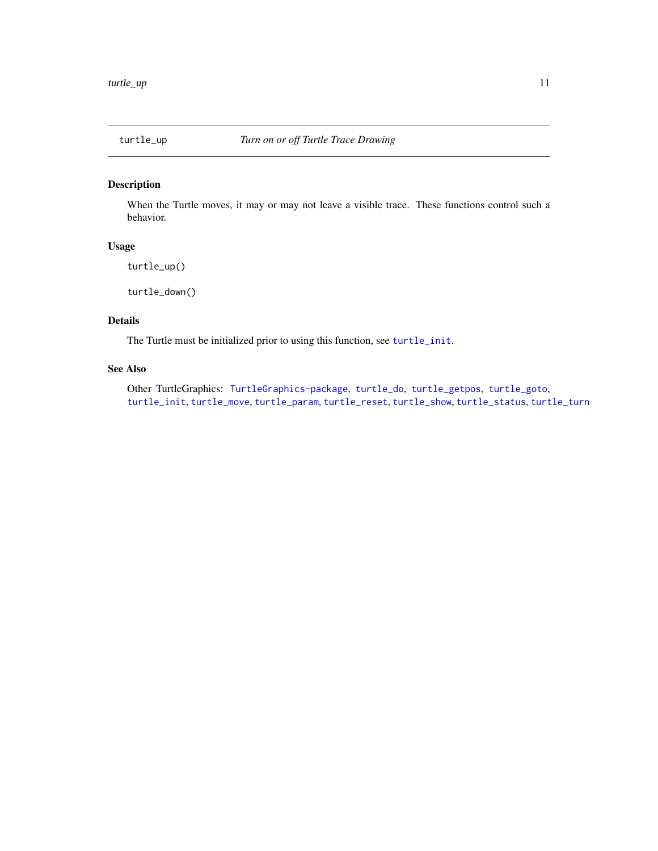<span id="page-10-2"></span><span id="page-10-1"></span><span id="page-10-0"></span>

When the Turtle moves, it may or may not leave a visible trace. These functions control such a behavior.

# Usage

turtle\_up()

turtle\_down()

# Details

The Turtle must be initialized prior to using this function, see [turtle\\_init](#page-4-1).

# See Also

Other TurtleGraphics: [TurtleGraphics-package](#page-1-1), [turtle\\_do](#page-2-1), [turtle\\_getpos](#page-3-1), [turtle\\_goto](#page-3-2), [turtle\\_init](#page-4-1), [turtle\\_move](#page-5-1), [turtle\\_param](#page-6-1), [turtle\\_reset](#page-7-1), [turtle\\_show](#page-8-1), [turtle\\_status](#page-8-2), [turtle\\_turn](#page-9-1)